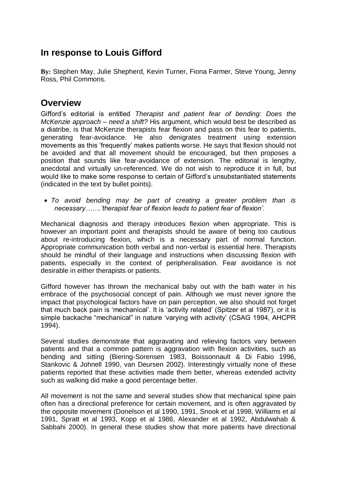## **In response to Louis Gifford**

**By:** Stephen May, Julie Shepherd, Kevin Turner, Fiona Farmer, Steve Young, Jenny Ross, Phil Commons.

## **Overview**

Gifford's editorial is entitled *Therapist and patient fear of bending: Does the McKenzie approach – need a shift?* His argument, which would best be described as a diatribe, is that McKenzie therapists fear flexion and pass on this fear to patients, generating fear-avoidance. He also denigrates treatment using extension movements as this 'frequently' makes patients worse. He says that flexion should not be avoided and that all movement should be encouraged, but then proposes a position that sounds like fear-avoidance of extension. The editorial is lengthy, anecdotal and virtually un-referenced. We do not wish to reproduce it in full, but would like to make some response to certain of Gifford's unsubstantiated statements (indicated in the text by bullet points).

 *To avoid bending may be part of creating a greater problem than is necessary…….'therapist fear of flexion leads to patient fear of flexion'.*

Mechanical diagnosis and therapy introduces flexion when appropriate. This is however an important point and therapists should be aware of being too cautious about re-introducing flexion, which is a necessary part of normal function. Appropriate communication both verbal and non-verbal is essential here. Therapists should be mindful of their language and instructions when discussing flexion with patients, especially in the context of peripheralisation. Fear avoidance is not desirable in either therapists or patients.

Gifford however has thrown the mechanical baby out with the bath water in his embrace of the psychosocial concept of pain. Although we must never ignore the impact that psychological factors have on pain perception, we also should not forget that much back pain is 'mechanical'. It is 'activity related' (Spitzer et al 1987), or it is simple backache "mechanical" in nature 'varying with activity' (CSAG 1994, AHCPR 1994).

Several studies demonstrate that aggravating and relieving factors vary between patients and that a common pattern is aggravation with flexion activities, such as bending and sitting (Biering-Sorensen 1983, Boissonnault & Di Fabio 1996, Stankovic & Johnell 1990, van Deursen 2002). Interestingly virtually none of these patients reported that these activities made them better, whereas extended activity such as walking did make a good percentage better.

All movement is not the same and several studies show that mechanical spine pain often has a directional preference for certain movement, and is often aggravated by the opposite movement (Donelson et al 1990, 1991, Snook et al 1998, Williams et al 1991, Spratt et al 1993, Kopp et al 1986, Alexander et al 1992, Abdulwahab & Sabbahi 2000). In general these studies show that more patients have directional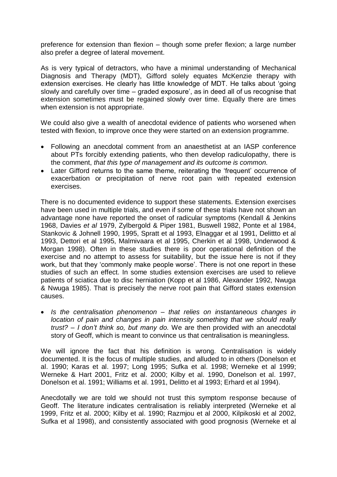preference for extension than flexion – though some prefer flexion; a large number also prefer a degree of lateral movement.

As is very typical of detractors, who have a minimal understanding of Mechanical Diagnosis and Therapy (MDT), Gifford solely equates McKenzie therapy with extension exercises. He clearly has little knowledge of MDT. He talks about 'going slowly and carefully over time – graded exposure', as in deed all of us recognise that extension sometimes must be regained slowly over time. Equally there are times when extension is not appropriate.

We could also give a wealth of anecdotal evidence of patients who worsened when tested with flexion, to improve once they were started on an extension programme.

- Following an anecdotal comment from an anaesthetist at an IASP conference about PTs forcibly extending patients, who then develop radiculopathy, there is the comment, *that this type of management and its outcome is common.*
- Later Gifford returns to the same theme, reiterating the 'frequent' occurrence of exacerbation or precipitation of nerve root pain with repeated extension exercises.

There is no documented evidence to support these statements. Extension exercises have been used in multiple trials, and even if some of these trials have not shown an advantage none have reported the onset of radicular symptoms (Kendall & Jenkins 1968, Davies *et al* 1979, Zylbergold & Piper 1981, Buswell 1982, Ponte et al 1984, Stankovic & Johnell 1990, 1995, Spratt et al 1993, Elnaggar et al 1991, Delittto et al 1993, Dettori et al 1995, Malmivaara et al 1995, Cherkin et al 1998, Underwood & Morgan 1998). Often in these studies there is poor operational definition of the exercise and no attempt to assess for suitability, but the issue here is not if they work, but that they 'commonly make people worse'. There is not one report in these studies of such an effect. In some studies extension exercises are used to relieve patients of sciatica due to disc herniation (Kopp et al 1986, Alexander 1992, Nwuga & Nwuga 1985). That is precisely the nerve root pain that Gifford states extension causes.

 *Is the centralisation phenomenon – that relies on instantaneous changes in location of pain and changes in pain intensity something that we should really trust? – I don't think so, but many do.* We are then provided with an anecdotal story of Geoff, which is meant to convince us that centralisation is meaningless.

We will ignore the fact that his definition is wrong. Centralisation is widely documented. It is the focus of multiple studies, and alluded to in others (Donelson et al. 1990; Karas et al. 1997; Long 1995; Sufka et al. 1998; Werneke et al 1999; Werneke & Hart 2001, Fritz et al. 2000; Kilby et al. 1990, Donelson et al. 1997, Donelson et al. 1991; Williams et al. 1991, Delitto et al 1993; Erhard et al 1994).

Anecdotally we are told we should not trust this symptom response because of Geoff. The literature indicates centralisation is reliably interpreted (Werneke et al 1999, Fritz et al. 2000; Kilby et al. 1990; Razmjou et al 2000, Kilpikoski et al 2002, Sufka et al 1998), and consistently associated with good prognosis (Werneke et al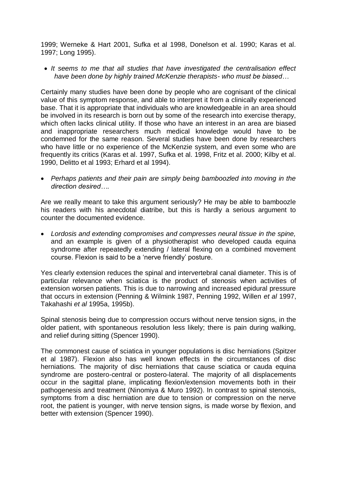1999; Werneke & Hart 2001, Sufka et al 1998, Donelson et al. 1990; Karas et al. 1997; Long 1995).

 *It seems to me that all studies that have investigated the centralisation effect have been done by highly trained McKenzie therapists- who must be biased…*

Certainly many studies have been done by people who are cognisant of the clinical value of this symptom response, and able to interpret it from a clinically experienced base. That it is appropriate that individuals who are knowledgeable in an area should be involved in its research is born out by some of the research into exercise therapy, which often lacks clinical utility. If those who have an interest in an area are biased and inappropriate researchers much medical knowledge would have to be condemned for the same reason. Several studies have been done by researchers who have little or no experience of the McKenzie system, and even some who are frequently its critics (Karas et al. 1997, Sufka et al. 1998, Fritz et al. 2000; Kilby et al. 1990, Delitto et al 1993; Erhard et al 1994).

 *Perhaps patients and their pain are simply being bamboozled into moving in the direction desired….*

Are we really meant to take this argument seriously? He may be able to bamboozle his readers with his anecdotal diatribe, but this is hardly a serious argument to counter the documented evidence.

 *Lordosis and extending compromises and compresses neural tissue in the spine,*  and an example is given of a physiotherapist who developed cauda equina syndrome after repeatedly extending / lateral flexing on a combined movement course. Flexion is said to be a 'nerve friendly' posture.

Yes clearly extension reduces the spinal and intervertebral canal diameter. This is of particular relevance when sciatica is the product of stenosis when activities of extension worsen patients. This is due to narrowing and increased epidural pressure that occurs in extension (Penning & Wilmink 1987, Penning 1992, Willen *et al* 1997, Takahashi *et al* 1995a, 1995b).

Spinal stenosis being due to compression occurs without nerve tension signs, in the older patient, with spontaneous resolution less likely; there is pain during walking, and relief during sitting (Spencer 1990).

The commonest cause of sciatica in younger populations is disc herniations (Spitzer et al 1987). Flexion also has well known effects in the circumstances of disc herniations. The majority of disc herniations that cause sciatica or cauda equina syndrome are postero-central or postero-lateral. The majority of all displacements occur in the sagittal plane, implicating flexion/extension movements both in their pathogenesis and treatment (Ninomiya & Muro 1992). In contrast to spinal stenosis, symptoms from a disc herniation are due to tension or compression on the nerve root, the patient is younger, with nerve tension signs, is made worse by flexion, and better with extension (Spencer 1990).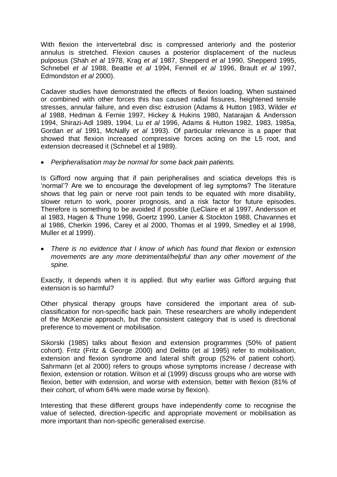With flexion the intervertebral disc is compressed anteriorly and the posterior annulus is stretched. Flexion causes a posterior displacement of the nucleus pulposus (Shah *et al* 1978, Krag *et al* 1987, Shepperd *et al* 1990, Shepperd 1995, Schnebel *et al* 1988, Beattie *et al* 1994, Fennell *et al* 1996, Brault *et al* 1997, Edmondston *et al* 2000).

Cadaver studies have demonstrated the effects of flexion loading. When sustained or combined with other forces this has caused radial fissures, heightened tensile stresses, annular failure, and even disc extrusion (Adams & Hutton 1983, Wilder *et al* 1988, Hedman & Fernie 1997, Hickey & Hukins 1980, Natarajan & Andersson 1994, Shirazi-Adl 1989, 1994, Lu *et al* 1996, Adams & Hutton 1982, 1983, 1985a, Gordan *et al* 1991, McNally *et al* 1993). Of particular relevance is a paper that showed that flexion increased compressive forces acting on the L5 root, and extension decreased it (Schnebel et al 1989).

*Peripheralisation may be normal for some back pain patients.*

Is Gifford now arguing that if pain peripheralises and sciatica develops this is 'normal'? Are we to encourage the development of leg symptoms? The literature shows that leg pain or nerve root pain tends to be equated with more disability, slower return to work, poorer prognosis, and a risk factor for future episodes. Therefore is something to be avoided if possible (LeClaire et al 1997, Andersson et al 1983, Hagen & Thune 1998, Goertz 1990, Lanier & Stockton 1988, Chavannes et al 1986, Cherkin 1996, Carey et al 2000, Thomas et al 1999, Smedley et al 1998, Muller et al 1999).

 *There is no evidence that I know of which has found that flexion or extension movements are any more detrimental/helpful than any other movement of the spine.*

Exactly, it depends when it is applied. But why earlier was Gifford arguing that extension is so harmful?

Other physical therapy groups have considered the important area of subclassification for non-specific back pain. These researchers are wholly independent of the McKenzie approach, but the consistent category that is used is directional preference to movement or mobilisation.

Sikorski (1985) talks about flexion and extension programmes (50% of patient cohort). Fritz (Fritz & George 2000) and Delitto (et al 1995) refer to mobilisation, extension and flexion syndrome and lateral shift group (52% of patient cohort). Sahrmann (et al 2000) refers to groups whose symptoms increase / decrease with flexion, extension or rotation. Wilson et al (1999) discuss groups who are worse with flexion, better with extension, and worse with extension, better with flexion (81% of their cohort, of whom 64% were made worse by flexion).

Interesting that these different groups have independently come to recognise the value of selected, direction-specific and appropriate movement or mobilisation as more important than non-specific generalised exercise.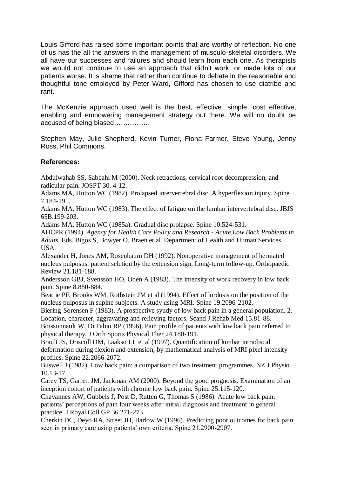Louis Gifford has raised some important points that are worthy of reflection. No one of us has the all the answers in the management of musculo-skeletal disorders. We all have our successes and failures and should learn from each one. As therapists we would not continue to use an approach that didn't work, or made lots of our patients worse. It is shame that rather than continue to debate in the reasonable and thoughtful tone employed by Peter Ward, Gifford has chosen to use diatribe and rant.

The McKenzie approach used well is the best, effective, simple, cost effective, enabling and empowering management strategy out there. We will no doubt be accused of being biased…………….

Stephen May, Julie Shepherd, Kevin Turner, Fiona Farmer, Steve Young, Jenny Ross, Phil Commons.

## **References:**

Abdulwahab SS, Sabbahi M (2000). Neck retractions, cervical root decompression, and radicular pain. JOSPT 30. 4-12.

Adams MA, Hutton WC (1982). Prolapsed intervertebral disc. A hyperflexion injury. Spine 7.184-191.

Adams MA, Hutton WC (1983). The effect of fatigue on the lumbar intervertebral disc. JBJS 65B.199-203.

Adams MA, Hutton WC (1985a). Gradual disc prolapse. Spine 10.524-531.

AHCPR (1994). *Agency for Health Care Policy and Research - Acute Low Back Problems in Adults.* Eds. Bigos S, Bowyer O, Braen et al. Department of Health and Human Services, USA.

Alexander H, Jones AM, Rosenbaum DH (1992). Nonoperative management of herniated nucleus pulposus: patient selction by the extension sign. Long-term follow-up. Orthopaedic Review 21.181-188.

Andersson GBJ, Svensson HO, Oden A (1983). The intensity of work recovery in low back pain. Spine 8.880-884.

Beattie PF, Brooks WM, Rothstein JM et al (1994). Effect of lordosis on the position of the nucleus pulposus in supine subjects. A study using MRI. Spine 19.2096-2102.

Biering-Sorensen F (1983). A prospective syudy of low back pain in a general population. 2. Location, character, aggravating and relieving factors. Scand J Rehab Med 15.81-88.

Boissonnault W, Di Fabio RP (1996). Pain profile of patients with low back pain referred to physical therapy. J Orth Sports Physical Ther 24.180-191.

Brault JS, Driscoll DM, Laakso LL et al (1997). Quantification of lumbar intradiscal deformation during flexion and extension, by mathematical analysis of MRI pixel intensity profiles. Spine 22.2066-2072.

Buswell J (1982). Low back pain: a comparison of two treatment programmes. NZ J Physio 10.13-17.

Carey TS, Garrett JM, Jackman AM (2000). Beyond the good prognosis. Examination of an inception cohort of patients with chronic low back pain. Spine 25.115-120.

Chavannes AW, Gubbels J, Post D, Rutten G, Thomas S (1986). Acute low back pain: patients' perceptions of pain four weeks after initial diagnosis and treatment in general practice. J Royal Coll GP 36.271-273.

Cherkin DC, Deyo RA, Street JH, Barlow W (1996). Predicting poor outcomes for back pain seen in primary care using patients' own criteria. Spine 21.2900-2907.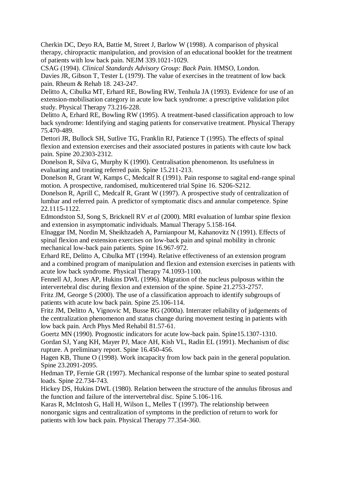Cherkin DC, Deyo RA, Battie M, Street J, Barlow W (1998). A comparison of physical therapy, chiropractic manipulation, and provision of an educational booklet for the treatment of patients with low back pain. NEJM 339.1021-1029.

CSAG (1994). *Clinical Standards Advisory Group: Back Pain.* HMSO, London. Davies JR, Gibson T, Tester L (1979). The value of exercises in the treatment of low back pain. Rheum & Rehab 18. 243-247.

Delitto A, Cibulka MT, Erhard RE, Bowling RW, Tenhula JA (1993). Evidence for use of an extension-mobilisation category in acute low back syndrome: a prescriptive validation pilot study. Physical Therapy 73.216-228.

Delitto A, Erhard RE, Bowling RW (1995). A treatment-based classification approach to low back syndrome: Identifying and staging patients for conservative treatment. Physical Therapy 75.470-489.

Dettori JR, Bullock SH, Sutlive TG, Franklin RJ, Patience T (1995). The effects of spinal flexion and extension exercises and their associated postures in patients with caute low back pain. Spine 20.2303-2312.

Donelson R, Silva G, Murphy K (1990). Centralisation phenomenon. Its usefulness in evaluating and treating referred pain. Spine 15.211-213.

Donelson R, Grant W, Kamps C, Medcalf R (1991). Pain response to sagital end-range spinal motion. A prospective, randomised, multicentered trial Spine 16. S206-S212.

Donelson R, Aprill C, Medcalf R, Grant W (1997). A prospective study of centralization of lumbar and referred pain. A predictor of symptomatic discs and annular competence. Spine 22.1115-1122.

Edmondston SJ, Song S, Bricknell RV *et al* (2000). MRI evaluation of lumbar spine flexion and extension in asymptomatic individuals. Manual Therapy 5.158-164.

Elnaggar IM, Nordin M, Sheikhzadeh A, Parnianpour M, Kahanovitz N (1991). Effects of spinal flexion and extension exercises on low-back pain and spinal mobility in chronic mechanical low-back pain patients. Spine 16.967-972.

Erhard RE, Delitto A, Cibulka MT (1994). Relative effectiveness of an extension program and a combined program of manipulation and flexion and extension exercises in patients with acute low back syndrome. Physical Therapy 74.1093-1100.

Fennell AJ, Jones AP, Hukins DWL (1996). Migration of the nucleus pulposus within the intervertebral disc during flexion and extension of the spine. Spine 21.2753-2757.

Fritz JM, George S (2000). The use of a classification approach to identify subgroups of patients with acute low back pain. Spine 25.106-114.

Fritz JM, Delitto A, Vignovic M, Busse RG (2000a). Interrater reliability of judgements of the centralization phenomenon and status change during movement testing in patients with low back pain. Arch Phys Med Rehabil 81.57-61.

Goertz MN (1990). Prognostic indicators for acute low-back pain. Spine15.1307-1310. Gordan SJ, Yang KH, Mayer PJ, Mace AH, Kish VL, Radin EL (1991). Mechanism of disc rupture. A preliminary report. Spine 16.450-456.

Hagen KB, Thune O (1998). Work incapacity from low back pain in the general population. Spine 23.2091-2095.

Hedman TP, Fernie GR (1997). Mechanical response of the lumbar spine to seated postural loads. Spine 22.734-743.

Hickey DS, Hukins DWL (1980). Relation between the structure of the annulus fibrosus and the function and failure of the intervertebral disc. Spine 5.106-116.

Karas R, McIntosh G, Hall H, Wilson L, Melles T (1997). The relationship between nonorganic signs and centralization of symptoms in the prediction of return to work for patients with low back pain. Physical Therapy 77.354-360.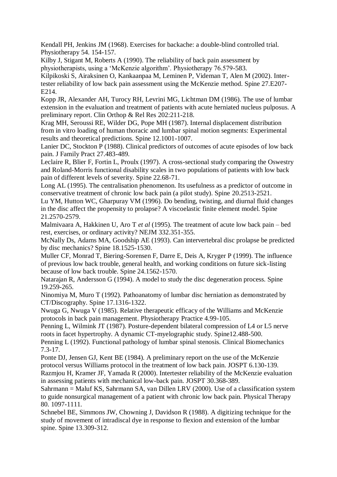Kendall PH, Jenkins JM (1968). Exercises for backache: a double-blind controlled trial. Physiotherapy 54. 154-157.

Kilby J, Stigant M, Roberts A (1990). The reliability of back pain assessment by physiotherapists, using a 'McKenzie algorithm'. Physiotherapy 76.579-583.

Kilpikoski S, Airaksinen O, Kankaanpaa M, Leminen P, Videman T, Alen M (2002). Intertester reliability of low back pain assessment using the McKenzie method. Spine 27.E207- E214.

Kopp JR, Alexander AH, Turocy RH, Levrini MG, Lichtman DM (1986). The use of lumbar extension in the evaluation and treatment of patients with acute herniated nucleus pulposus. A preliminary report. Clin Orthop & Rel Res 202:211-218.

Krag MH, Seroussi RE, Wilder DG, Pope MH (1987). Internal displacement distribution from in vitro loading of human thoracic and lumbar spinal motion segments: Experimental results and theoretical predictions. Spine 12.1001-1007.

Lanier DC, Stockton P (1988). Clinical predictors of outcomes of acute episodes of low back pain. J Family Pract 27.483-489.

Leclaire R, Blier F, Fortin L, Proulx (1997). A cross-sectional study comparing the Oswestry and Roland-Morris functional disability scales in two populations of patients with low back pain of different levels of severity. Spine 22.68-71.

Long AL (1995). The centralisation phenomenon. Its usefulness as a predictor of outcome in conservative treatment of chronic low back pain (a pilot study). Spine 20.2513-2521.

Lu YM, Hutton WC, Gharpuray VM (1996). Do bending, twisting, and diurnal fluid changes in the disc affect the propensity to prolapse? A viscoelastic finite element model. Spine 21.2570-2579.

Malmivaara A, Hakkinen U, Aro T *et al* (1995). The treatment of acute low back pain – bed rest, exercises, or ordinary activity? NEJM 332.351-355.

McNally Ds, Adams MA, Goodship AE (1993). Can intervertebral disc prolapse be predicted by disc mechanics? Spine 18.1525-1530.

Muller CF, Monrad T, Biering-Sorensen F, Darre E, Deis A, Kryger P (1999). The influence of previous low back trouble, general health, and working conditions on future sick-listing because of low back trouble. Spine 24.1562-1570.

Natarajan R, Andersson G (1994). A model to study the disc degeneration process. Spine 19.259-265.

Ninomiya M, Muro T (1992). Pathoanatomy of lumbar disc herniation as demonstrated by CT/Discography. Spine 17.1316-1322.

Nwuga G, Nwuga V (1985). Relative therapeutic efficacy of the Williams and McKenzie protocols in back pain management. Physiotherapy Practice 4.99-105.

Penning L, Wilmink JT (1987). Posture-dependent bilateral compression of L4 or L5 nerve roots in facet hypertrophy. A dynamic CT-myelographic study. Spine12.488-500.

Penning L (1992). Functional pathology of lumbar spinal stenosis. Clinical Biomechanics 7.3-17.

Ponte DJ, Jensen GJ, Kent BE (1984). A preliminary report on the use of the McKenzie protocol versus Williams protocol in the treatment of low back pain. JOSPT 6.130-139.

Razmjou H, Kramer JF, Yamada R (2000). Intertester reliability of the McKenzie evaluation in assessing patients with mechanical low-back pain. JOSPT 30.368-389.

Sahrmann = Maluf KS, Sahrmann SA, van Dillen LRV (2000). Use of a classification system to guide nonsurgical management of a patient with chronic low back pain. Physical Therapy 80. 1097-1111.

Schnebel BE, Simmons JW, Chowning J, Davidson R (1988). A digitizing technique for the study of movement of intradiscal dye in response to flexion and extension of the lumbar spine. Spine 13.309-312.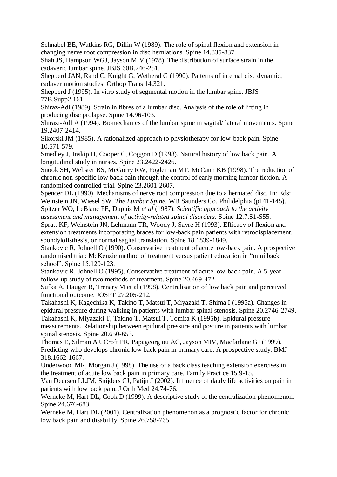Schnabel BE, Watkins RG, Dillin W (1989). The role of spinal flexion and extension in changing nerve root compression in disc herniations. Spine 14.835-837.

Shah JS, Hampson WGJ, Jayson MIV (1978). The distribution of surface strain in the cadaveric lumbar spine. JBJS 60B.246-251.

Shepperd JAN, Rand C, Knight G, Wetheral G (1990). Patterns of internal disc dynamic, cadaver motion studies. Orthop Trans 14.321.

Shepperd J (1995). In vitro study of segmental motion in the lumbar spine. JBJS 77B.Supp2.161.

Shiraz-Adl (1989). Strain in fibres of a lumbar disc. Analysis of the role of lifting in producing disc prolapse. Spine 14.96-103.

Shirazi-Adl A (1994). Biomechanics of the lumbar spine in sagital/ lateral movements. Spine 19.2407-2414.

Sikorski JM (1985). A rationalized approach to physiotherapy for low-back pain. Spine 10.571-579.

Smedley J, Inskip H, Cooper C, Coggon D (1998). Natural history of low back pain. A longitudinal study in nurses. Spine 23.2422-2426.

Snook SH, Webster BS, McGorry RW, Fogleman MT, McCann KB (1998). The reduction of chronic non-specific low back pain through the control of early morning lumbar flexion. A randomised controlled trial. Spine 23.2601-2607.

Spencer DL (1990). Mechanisms of nerve root compression due to a herniated disc. In: Eds: Weinstein JN, Wiesel SW. *The Lumbar Spine.* WB Saunders Co, Philidelphia (p141-145). Spitzer WO, LeBlanc FE, Dupuis M *et al* (1987). *Scientific approach to the activity* 

*assessment and management of activity-related spinal disorders*. Spine 12.7.S1-S55.

Spratt KF, Weinstein JN, Lehmann TR, Woody J, Sayre H (1993). Efficacy of flexion and extension treatments incorporating braces for low-back pain patients with retrodisplacement. spondylolisthesis, or normal sagital translation. Spine 18.1839-1849.

Stankovic R, Johnell O (1990). Conservative treatment of acute low-back pain. A prospective randomised trial: McKenzie method of treatment versus patient education in "mini back school". Spine 15.120-123.

Stankovic R, Johnell O (1995). Conservative treatment of acute low-back pain. A 5-year follow-up study of two methods of treatment. Spine 20.469-472.

Sufka A, Hauger B, Trenary M et al (1998). Centralisation of low back pain and perceived functional outcome. JOSPT 27.205-212.

Takahashi K, Kagechika K, Takino T, Matsui T, Miyazaki T, Shima I (1995a). Changes in epidural pressure during walking in patients with lumbar spinal stenosis. Spine 20.2746-2749. Takahashi K, Miyazaki T, Takino T, Matsui T, Tomita K (1995b). Epidural pressure measurements. Relationship between epidural pressure and posture in patients with lumbar spinal stenosis. Spine 20.650-653.

Thomas E, Silman AJ, Croft PR, Papageorgiou AC, Jayson MIV, Macfarlane GJ (1999). Predicting who develops chronic low back pain in primary care: A prospective study. BMJ 318.1662-1667.

Underwood MR, Morgan J (1998). The use of a back class teaching extension exercises in the treatment of acute low back pain in primary care. Family Practice 15.9-15.

Van Deursen LLJM, Snijders CJ, Patijn J (2002). Influence of dauly life activities on pain in patients with low back pain. J Orth Med 24.74-76.

Werneke M, Hart DL, Cook D (1999). A descriptive study of the centralization phenomenon. Spine 24.676-683.

Werneke M, Hart DL (2001). Centralization phenomenon as a prognostic factor for chronic low back pain and disability. Spine 26.758-765.